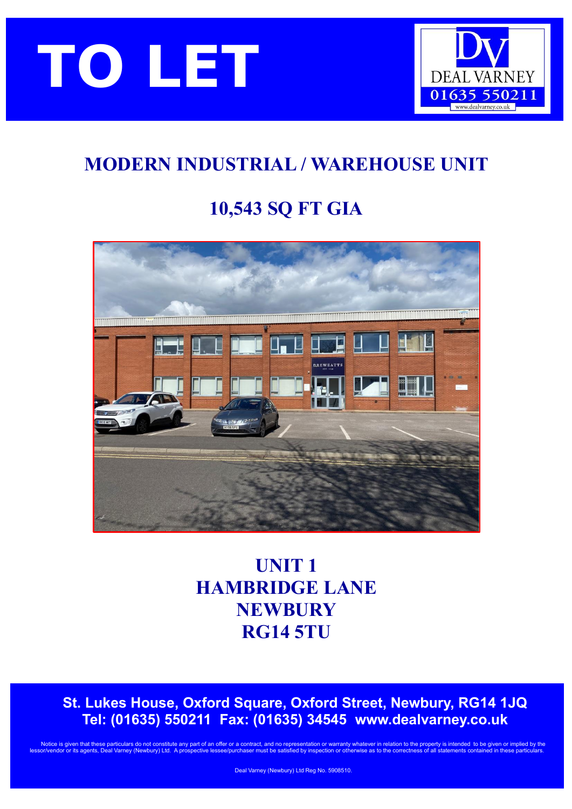



# **MODERN INDUSTRIAL / WAREHOUSE UNIT**

# **10,543 SQ FT GIA**



# **UNIT 1 HAMBRIDGE LANE NEWBURY RG14 5TU**

 **St. Lukes House, Oxford Square, Oxford Street, Newbury, RG14 1JQ Tel: (01635) 550211 Fax: (01635) 34545 [www.dealvarney.co.uk](http://www.dealvarney.co.uk/)**

Notice is given that these particulars do not constitute any part of an offer or a contract, and no representation or warranty whatever in relation to the property is intended to be given or implied by the lts Deal Varney (Newbury) Ltd.